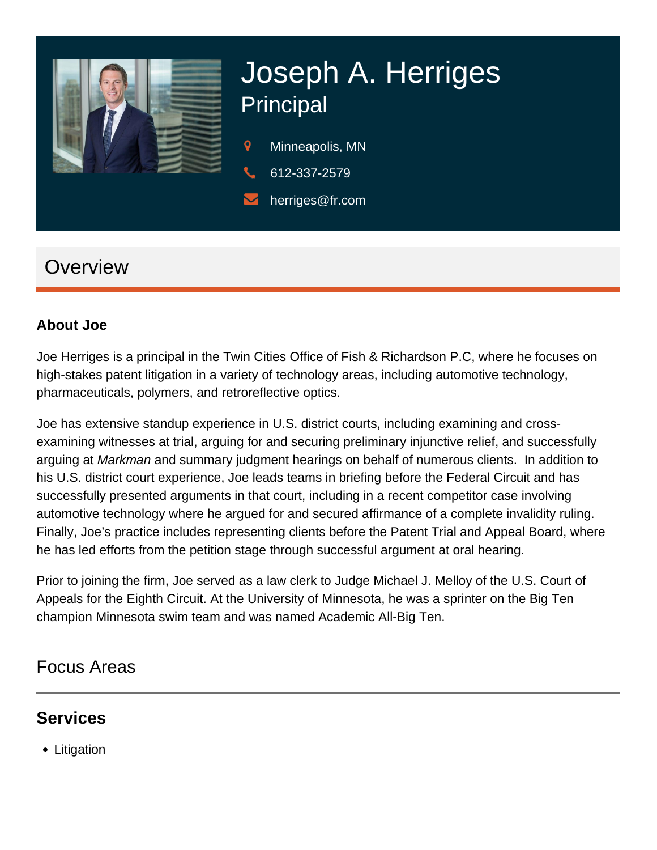

# Joseph A. Herriges **Principal**

- 9 Minneapolis, MN
- 612-337-2579
- herriges@fr.com

## **Overview**

#### **About Joe**

Joe Herriges is a principal in the Twin Cities Office of Fish & Richardson P.C, where he focuses on high-stakes patent litigation in a variety of technology areas, including automotive technology, pharmaceuticals, polymers, and retroreflective optics.

Joe has extensive standup experience in U.S. district courts, including examining and crossexamining witnesses at trial, arguing for and securing preliminary injunctive relief, and successfully arguing at Markman and summary judgment hearings on behalf of numerous clients. In addition to his U.S. district court experience, Joe leads teams in briefing before the Federal Circuit and has successfully presented arguments in that court, including in a recent competitor case involving automotive technology where he argued for and secured affirmance of a complete invalidity ruling. Finally, Joe's practice includes representing clients before the Patent Trial and Appeal Board, where he has led efforts from the petition stage through successful argument at oral hearing.

Prior to joining the firm, Joe served as a law clerk to Judge Michael J. Melloy of the U.S. Court of Appeals for the Eighth Circuit. At the University of Minnesota, he was a sprinter on the Big Ten champion Minnesota swim team and was named Academic All-Big Ten.

### Focus Areas

### **Services**

• Litigation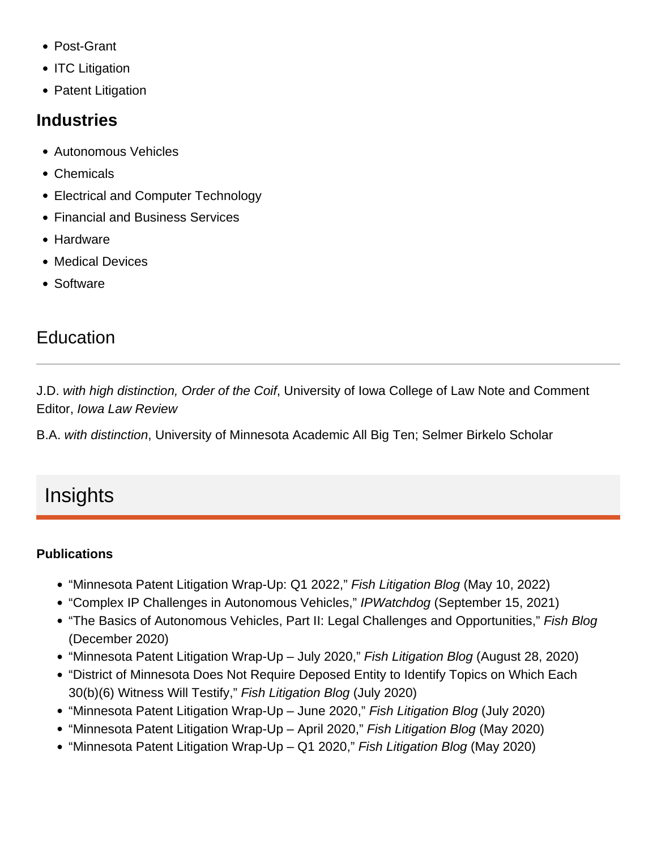- Post-Grant
- ITC Litigation
- Patent Litigation

#### Industries

- Autonomous Vehicles
- Chemicals
- Electrical and Computer Technology
- Financial and Business Services
- Hardware
- Medical Devices
- Software

## Education

J.D. with high distinction, Order of the Coif, University of Iowa College of Law Note and Comment Editor, Iowa Law Review

B.A. with distinction, University of Minnesota Academic All Big Ten; Selmer Birkelo Scholar

# Insights

#### **Publications**

- ["Minnesota Patent Litigation Wrap-Up: Q1 2022,](https://www.fr.com/minnesota-patent-litigation-wrap-up-q1-2022/)" Fish Litigation Blog (May 10, 2022)
- ["Complex IP Challenges in Autonomous Vehicles](https://www.ipwatchdog.com/2021/09/15/complex-ip-challenges-autonomous-vehicle-technology/id=137579/)," IPWatchdog (September 15, 2021)
- ["The Basics of Autonomous Vehicles, Part II: Legal Challenges and Opportunities](https://www.fr.com/basics-autonomous-vehicles-part-ii-legal-challenges-opportunities/)," Fish Blog (December 2020)
- ["Minnesota Patent Litigation Wrap-Up July 2020,](https://www.fr.com/?p=95201)" Fish Litigation Blog (August 28, 2020)
- ["District of Minnesota Does Not Require Deposed Entity to Identify Topics on Which Each](https://www.fr.com/fish-litigation/d-minn-does-not-require-deposed-entity-identify-topics/)  [30\(b\)\(6\) Witness Will Testify](https://www.fr.com/fish-litigation/d-minn-does-not-require-deposed-entity-identify-topics/)," Fish Litigation Blog (July 2020)
- ["Minnesota Patent Litigation Wrap-Up June 2020](https://www.fr.com/fish-litigation/mn-patent-litigation-wrap-up-june-2020/)," Fish Litigation Blog (July 2020)
- ["Minnesota Patent Litigation Wrap-Up April 2020](https://www.fr.com/fish-litigation/minnesota-patent-litigation-wrap-up-april-2020/)," Fish Litigation Blog (May 2020)
- ["Minnesota Patent Litigation Wrap-Up Q1 2020](https://www.fr.com/fish-litigation/minnesota-patent-litigation-wrap-up-q1-2020/)," Fish Litigation Blog (May 2020)